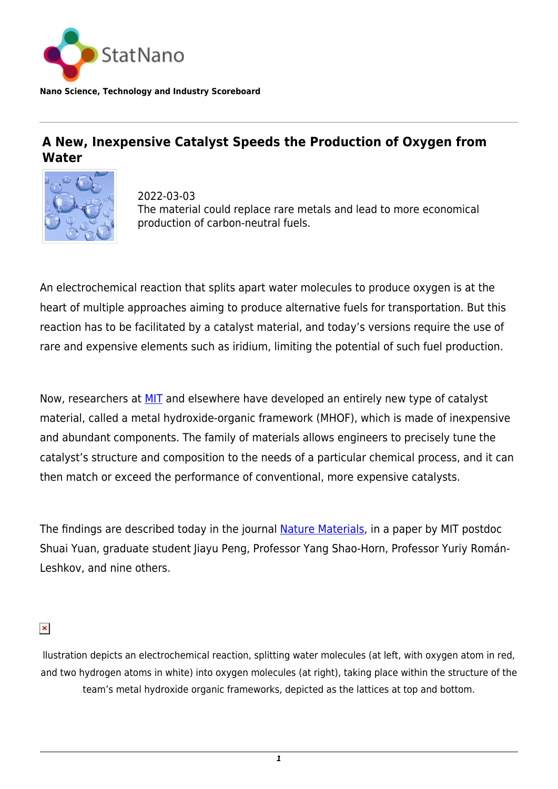

**Nano Science, Technology and Industry Scoreboard**

## **A New, Inexpensive Catalyst Speeds the Production of Oxygen from Water**



2022-03-03 The material could replace rare metals and lead to more economical production of carbon-neutral fuels.

An electrochemical reaction that splits apart water molecules to produce oxygen is at the heart of multiple approaches aiming to produce alternative fuels for transportation. But this reaction has to be facilitated by a catalyst material, and today's versions require the use of rare and expensive elements such as iridium, limiting the potential of such fuel production.

Now, researchers at **MIT** and elsewhere have developed an entirely new type of catalyst material, called a metal hydroxide-organic framework (MHOF), which is made of inexpensive and abundant components. The family of materials allows engineers to precisely tune the catalyst's structure and composition to the needs of a particular chemical process, and it can then match or exceed the performance of conventional, more expensive catalysts.

The findings are described today in the journal [Nature Materials,](https://www.nature.com/articles/s41563-022-01199-0) in a paper by MIT postdoc Shuai Yuan, graduate student Jiayu Peng, Professor Yang Shao-Horn, Professor Yuriy Román-Leshkov, and nine others.

 $\pmb{\times}$ 

llustration depicts an electrochemical reaction, splitting water molecules (at left, with oxygen atom in red, and two hydrogen atoms in white) into oxygen molecules (at right), taking place within the structure of the team's metal hydroxide organic frameworks, depicted as the lattices at top and bottom.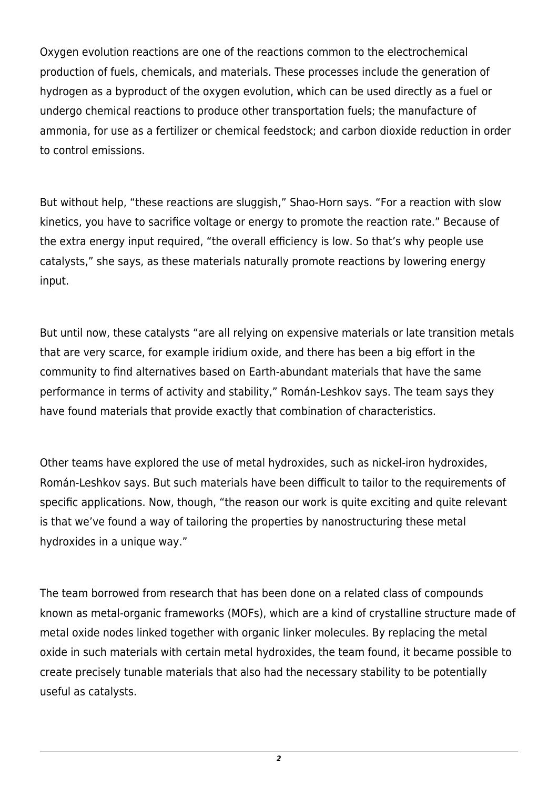Oxygen evolution reactions are one of the reactions common to the electrochemical production of fuels, chemicals, and materials. These processes include the generation of hydrogen as a byproduct of the oxygen evolution, which can be used directly as a fuel or undergo chemical reactions to produce other transportation fuels; the manufacture of ammonia, for use as a fertilizer or chemical feedstock; and carbon dioxide reduction in order to control emissions.

But without help, "these reactions are sluggish," Shao-Horn says. "For a reaction with slow kinetics, you have to sacrifice voltage or energy to promote the reaction rate." Because of the extra energy input required, "the overall efficiency is low. So that's why people use catalysts," she says, as these materials naturally promote reactions by lowering energy input.

But until now, these catalysts "are all relying on expensive materials or late transition metals that are very scarce, for example iridium oxide, and there has been a big effort in the community to find alternatives based on Earth-abundant materials that have the same performance in terms of activity and stability," Román-Leshkov says. The team says they have found materials that provide exactly that combination of characteristics.

Other teams have explored the use of metal hydroxides, such as nickel-iron hydroxides, Román-Leshkov says. But such materials have been difficult to tailor to the requirements of specific applications. Now, though, "the reason our work is quite exciting and quite relevant is that we've found a way of tailoring the properties by nanostructuring these metal hydroxides in a unique way."

The team borrowed from research that has been done on a related class of compounds known as metal-organic frameworks (MOFs), which are a kind of crystalline structure made of metal oxide nodes linked together with organic linker molecules. By replacing the metal oxide in such materials with certain metal hydroxides, the team found, it became possible to create precisely tunable materials that also had the necessary stability to be potentially useful as catalysts.

*2*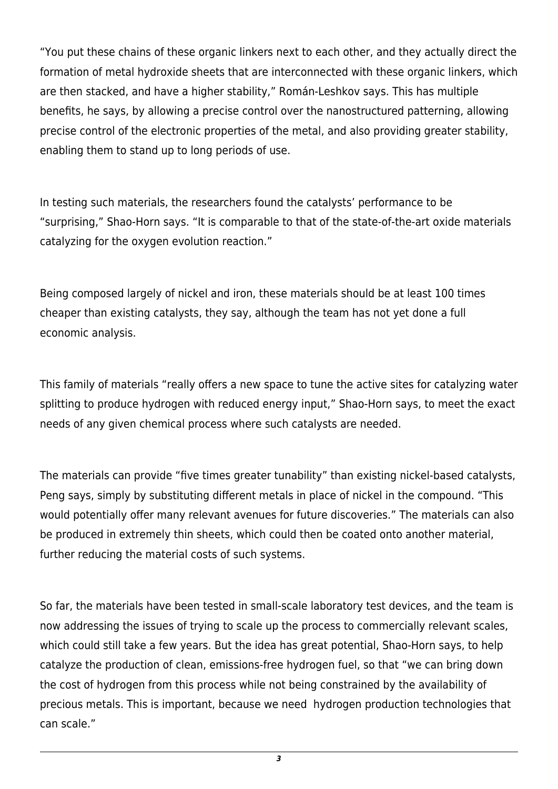"You put these chains of these organic linkers next to each other, and they actually direct the formation of metal hydroxide sheets that are interconnected with these organic linkers, which are then stacked, and have a higher stability," Román-Leshkov says. This has multiple benefits, he says, by allowing a precise control over the nanostructured patterning, allowing precise control of the electronic properties of the metal, and also providing greater stability, enabling them to stand up to long periods of use.

In testing such materials, the researchers found the catalysts' performance to be "surprising," Shao-Horn says. "It is comparable to that of the state-of-the-art oxide materials catalyzing for the oxygen evolution reaction."

Being composed largely of nickel and iron, these materials should be at least 100 times cheaper than existing catalysts, they say, although the team has not yet done a full economic analysis.

This family of materials "really offers a new space to tune the active sites for catalyzing water splitting to produce hydrogen with reduced energy input," Shao-Horn says, to meet the exact needs of any given chemical process where such catalysts are needed.

The materials can provide "five times greater tunability" than existing nickel-based catalysts, Peng says, simply by substituting different metals in place of nickel in the compound. "This would potentially offer many relevant avenues for future discoveries." The materials can also be produced in extremely thin sheets, which could then be coated onto another material, further reducing the material costs of such systems.

So far, the materials have been tested in small-scale laboratory test devices, and the team is now addressing the issues of trying to scale up the process to commercially relevant scales, which could still take a few years. But the idea has great potential, Shao-Horn says, to help catalyze the production of clean, emissions-free hydrogen fuel, so that "we can bring down the cost of hydrogen from this process while not being constrained by the availability of precious metals. This is important, because we need hydrogen production technologies that can scale."